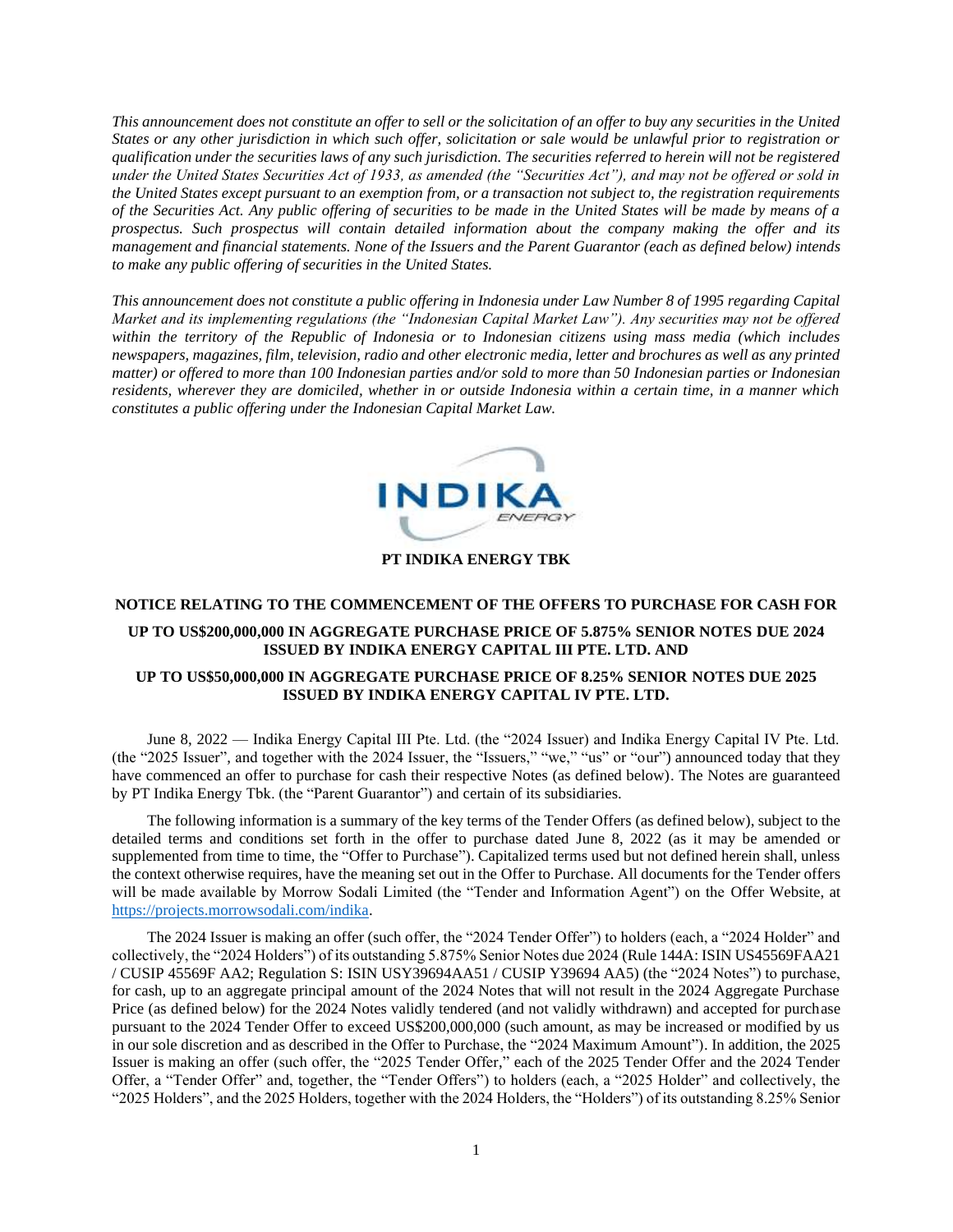*This announcement does not constitute an offer to sell or the solicitation of an offer to buy any securities in the United States or any other jurisdiction in which such offer, solicitation or sale would be unlawful prior to registration or qualification under the securities laws of any such jurisdiction. The securities referred to herein will not be registered under the United States Securities Act of 1933, as amended (the "Securities Act"), and may not be offered or sold in the United States except pursuant to an exemption from, or a transaction not subject to, the registration requirements of the Securities Act. Any public offering of securities to be made in the United States will be made by means of a prospectus. Such prospectus will contain detailed information about the company making the offer and its management and financial statements. None of the Issuers and the Parent Guarantor (each as defined below) intends to make any public offering of securities in the United States.*

*This announcement does not constitute a public offering in Indonesia under Law Number 8 of 1995 regarding Capital Market and its implementing regulations (the "Indonesian Capital Market Law"). Any securities may not be offered within the territory of the Republic of Indonesia or to Indonesian citizens using mass media (which includes newspapers, magazines, film, television, radio and other electronic media, letter and brochures as well as any printed matter) or offered to more than 100 Indonesian parties and/or sold to more than 50 Indonesian parties or Indonesian residents, wherever they are domiciled, whether in or outside Indonesia within a certain time, in a manner which constitutes a public offering under the Indonesian Capital Market Law.*



# **PT INDIKA ENERGY TBK**

#### **NOTICE RELATING TO THE COMMENCEMENT OF THE OFFERS TO PURCHASE FOR CASH FOR**

# **UP TO US\$200,000,000 IN AGGREGATE PURCHASE PRICE OF 5.875% SENIOR NOTES DUE 2024 ISSUED BY INDIKA ENERGY CAPITAL III PTE. LTD. AND**

### **UP TO US\$50,000,000 IN AGGREGATE PURCHASE PRICE OF 8.25% SENIOR NOTES DUE 2025 ISSUED BY INDIKA ENERGY CAPITAL IV PTE. LTD.**

June 8, 2022 — Indika Energy Capital III Pte. Ltd. (the "2024 Issuer) and Indika Energy Capital IV Pte. Ltd. (the "2025 Issuer", and together with the 2024 Issuer, the "Issuers," "we," "us" or "our") announced today that they have commenced an offer to purchase for cash their respective Notes (as defined below). The Notes are guaranteed by PT Indika Energy Tbk. (the "Parent Guarantor") and certain of its subsidiaries.

The following information is a summary of the key terms of the Tender Offers (as defined below), subject to the detailed terms and conditions set forth in the offer to purchase dated June 8, 2022 (as it may be amended or supplemented from time to time, the "Offer to Purchase"). Capitalized terms used but not defined herein shall, unless the context otherwise requires, have the meaning set out in the Offer to Purchase. All documents for the Tender offers will be made available by Morrow Sodali Limited (the "Tender and Information Agent") on the Offer Website, at [https://projects.morrowsodali.com/indika.](https://projects.morrowsodali.com/indika)

The 2024 Issuer is making an offer (such offer, the "2024 Tender Offer") to holders (each, a "2024 Holder" and collectively, the "2024 Holders") of its outstanding 5.875% Senior Notes due 2024 (Rule 144A: ISIN US45569FAA21 / CUSIP 45569F AA2; Regulation S: ISIN USY39694AA51 / CUSIP Y39694 AA5) (the "2024 Notes") to purchase, for cash, up to an aggregate principal amount of the 2024 Notes that will not result in the 2024 Aggregate Purchase Price (as defined below) for the 2024 Notes validly tendered (and not validly withdrawn) and accepted for purchase pursuant to the 2024 Tender Offer to exceed US\$200,000,000 (such amount, as may be increased or modified by us in our sole discretion and as described in the Offer to Purchase, the "2024 Maximum Amount"). In addition, the 2025 Issuer is making an offer (such offer, the "2025 Tender Offer," each of the 2025 Tender Offer and the 2024 Tender Offer, a "Tender Offer" and, together, the "Tender Offers") to holders (each, a "2025 Holder" and collectively, the "2025 Holders", and the 2025 Holders, together with the 2024 Holders, the "Holders") of its outstanding 8.25% Senior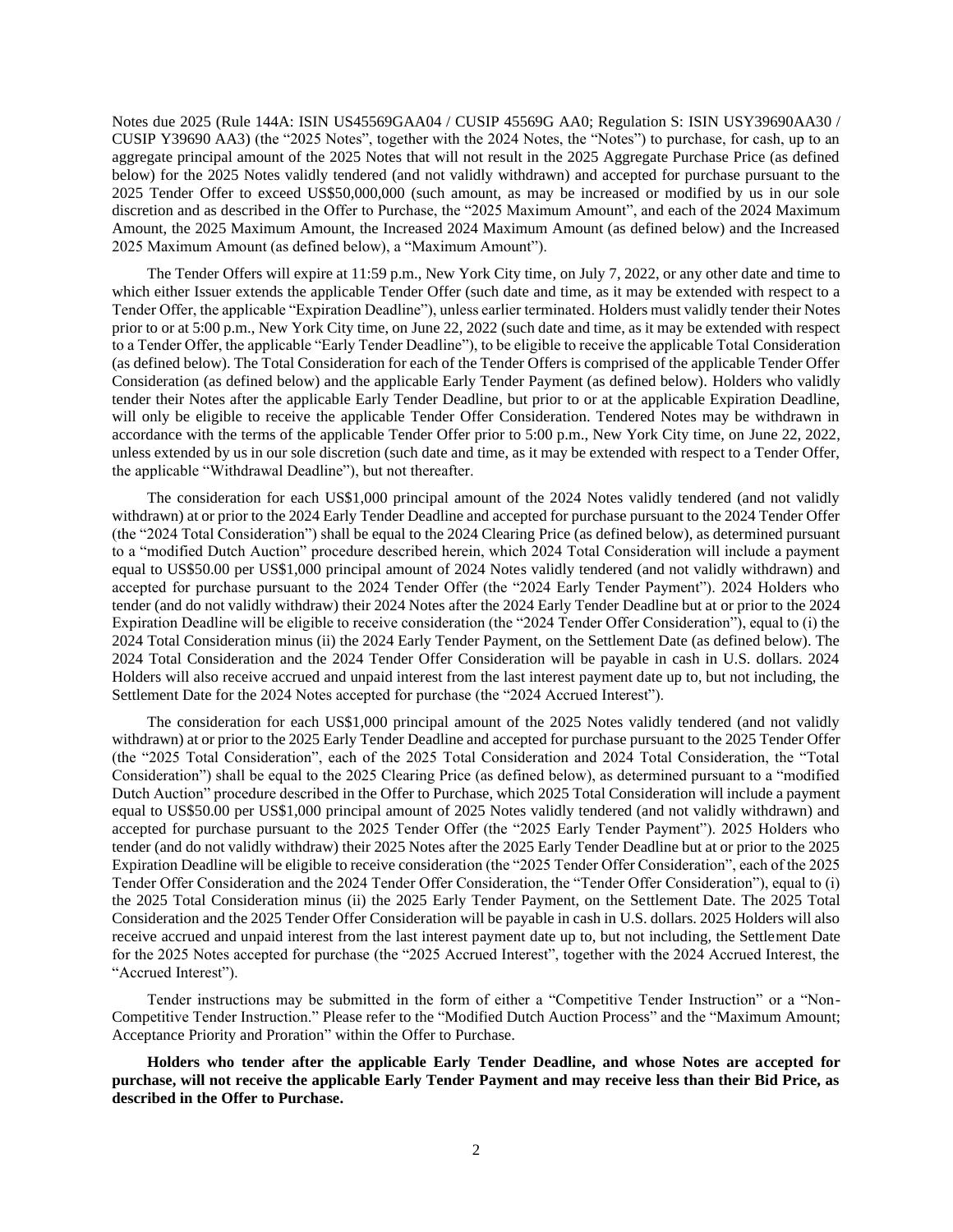Notes due 2025 (Rule 144A: ISIN US45569GAA04 / CUSIP 45569G AA0; Regulation S: ISIN USY39690AA30 / CUSIP Y39690 AA3) (the "2025 Notes", together with the 2024 Notes, the "Notes") to purchase, for cash, up to an aggregate principal amount of the 2025 Notes that will not result in the 2025 Aggregate Purchase Price (as defined below) for the 2025 Notes validly tendered (and not validly withdrawn) and accepted for purchase pursuant to the 2025 Tender Offer to exceed US\$50,000,000 (such amount, as may be increased or modified by us in our sole discretion and as described in the Offer to Purchase, the "2025 Maximum Amount", and each of the 2024 Maximum Amount, the 2025 Maximum Amount, the Increased 2024 Maximum Amount (as defined below) and the Increased 2025 Maximum Amount (as defined below), a "Maximum Amount").

The Tender Offers will expire at 11:59 p.m., New York City time, on July 7, 2022, or any other date and time to which either Issuer extends the applicable Tender Offer (such date and time, as it may be extended with respect to a Tender Offer, the applicable "Expiration Deadline"), unless earlier terminated. Holders must validly tender their Notes prior to or at 5:00 p.m., New York City time, on June 22, 2022 (such date and time, as it may be extended with respect to a Tender Offer, the applicable "Early Tender Deadline"), to be eligible to receive the applicable Total Consideration (as defined below). The Total Consideration for each of the Tender Offers is comprised of the applicable Tender Offer Consideration (as defined below) and the applicable Early Tender Payment (as defined below). Holders who validly tender their Notes after the applicable Early Tender Deadline, but prior to or at the applicable Expiration Deadline, will only be eligible to receive the applicable Tender Offer Consideration. Tendered Notes may be withdrawn in accordance with the terms of the applicable Tender Offer prior to 5:00 p.m., New York City time, on June 22, 2022, unless extended by us in our sole discretion (such date and time, as it may be extended with respect to a Tender Offer, the applicable "Withdrawal Deadline"), but not thereafter.

The consideration for each US\$1,000 principal amount of the 2024 Notes validly tendered (and not validly withdrawn) at or prior to the 2024 Early Tender Deadline and accepted for purchase pursuant to the 2024 Tender Offer (the "2024 Total Consideration") shall be equal to the 2024 Clearing Price (as defined below), as determined pursuant to a "modified Dutch Auction" procedure described herein, which 2024 Total Consideration will include a payment equal to US\$50.00 per US\$1,000 principal amount of 2024 Notes validly tendered (and not validly withdrawn) and accepted for purchase pursuant to the 2024 Tender Offer (the "2024 Early Tender Payment"). 2024 Holders who tender (and do not validly withdraw) their 2024 Notes after the 2024 Early Tender Deadline but at or prior to the 2024 Expiration Deadline will be eligible to receive consideration (the "2024 Tender Offer Consideration"), equal to (i) the 2024 Total Consideration minus (ii) the 2024 Early Tender Payment, on the Settlement Date (as defined below). The 2024 Total Consideration and the 2024 Tender Offer Consideration will be payable in cash in U.S. dollars. 2024 Holders will also receive accrued and unpaid interest from the last interest payment date up to, but not including, the Settlement Date for the 2024 Notes accepted for purchase (the "2024 Accrued Interest").

The consideration for each US\$1,000 principal amount of the 2025 Notes validly tendered (and not validly withdrawn) at or prior to the 2025 Early Tender Deadline and accepted for purchase pursuant to the 2025 Tender Offer (the "2025 Total Consideration", each of the 2025 Total Consideration and 2024 Total Consideration, the "Total Consideration") shall be equal to the 2025 Clearing Price (as defined below), as determined pursuant to a "modified Dutch Auction" procedure described in the Offer to Purchase, which 2025 Total Consideration will include a payment equal to US\$50.00 per US\$1,000 principal amount of 2025 Notes validly tendered (and not validly withdrawn) and accepted for purchase pursuant to the 2025 Tender Offer (the "2025 Early Tender Payment"). 2025 Holders who tender (and do not validly withdraw) their 2025 Notes after the 2025 Early Tender Deadline but at or prior to the 2025 Expiration Deadline will be eligible to receive consideration (the "2025 Tender Offer Consideration", each of the 2025 Tender Offer Consideration and the 2024 Tender Offer Consideration, the "Tender Offer Consideration"), equal to (i) the 2025 Total Consideration minus (ii) the 2025 Early Tender Payment, on the Settlement Date. The 2025 Total Consideration and the 2025 Tender Offer Consideration will be payable in cash in U.S. dollars. 2025 Holders will also receive accrued and unpaid interest from the last interest payment date up to, but not including, the Settlement Date for the 2025 Notes accepted for purchase (the "2025 Accrued Interest", together with the 2024 Accrued Interest, the "Accrued Interest").

Tender instructions may be submitted in the form of either a "Competitive Tender Instruction" or a "Non-Competitive Tender Instruction." Please refer to the "Modified Dutch Auction Process" and the "Maximum Amount; Acceptance Priority and Proration" within the Offer to Purchase.

**Holders who tender after the applicable Early Tender Deadline, and whose Notes are accepted for purchase, will not receive the applicable Early Tender Payment and may receive less than their Bid Price, as described in the Offer to Purchase.**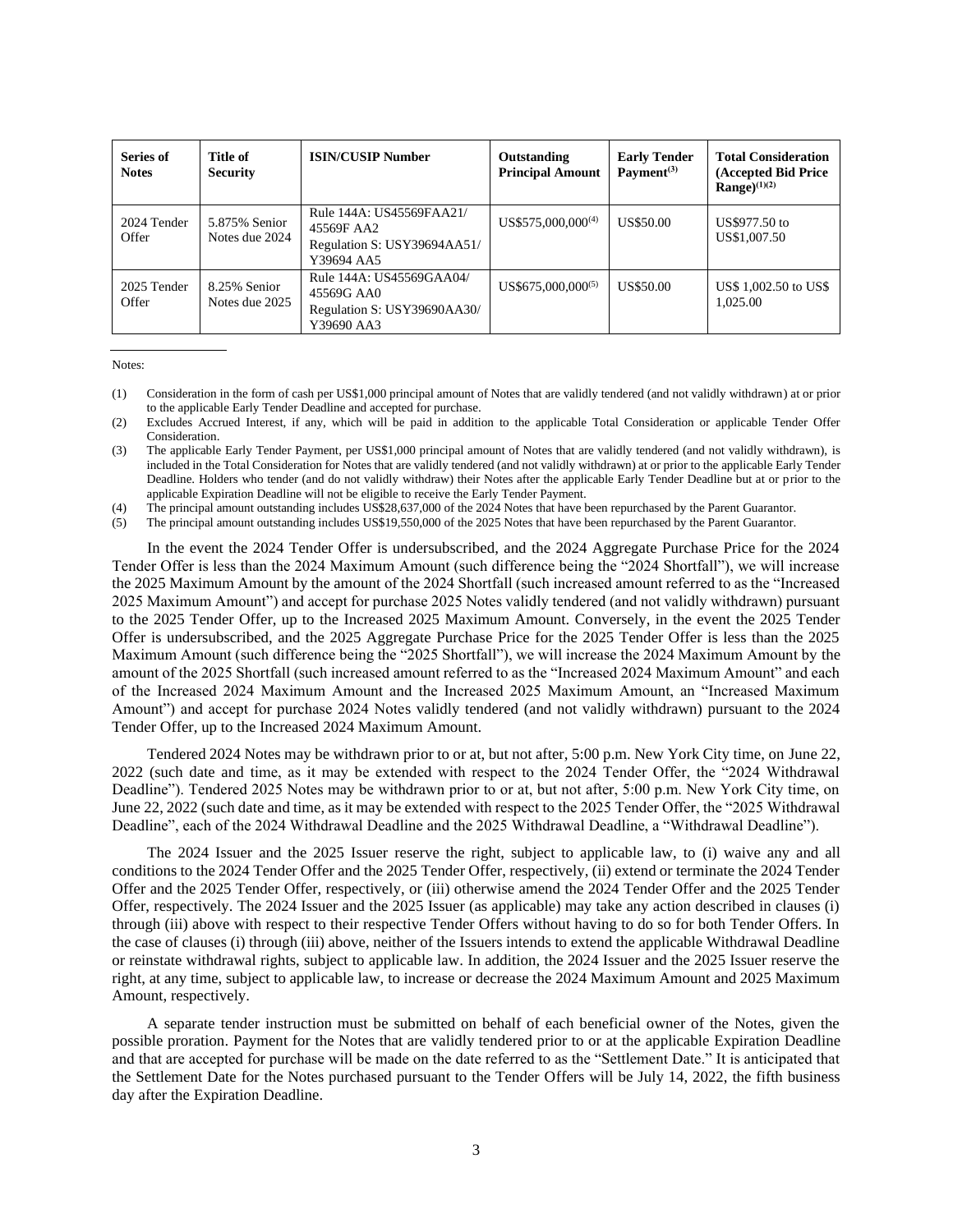| Series of<br><b>Notes</b> | Title of<br><b>Security</b>     | <b>ISIN/CUSIP Number</b>                                                            | Outstanding<br><b>Principal Amount</b> | <b>Early Tender</b><br>Payment <sup>(3)</sup> | <b>Total Consideration</b><br>(Accepted Bid Price)<br><b>Range</b> $(1)(2)$ |
|---------------------------|---------------------------------|-------------------------------------------------------------------------------------|----------------------------------------|-----------------------------------------------|-----------------------------------------------------------------------------|
| 2024 Tender<br>Offer      | 5.875% Senior<br>Notes due 2024 | Rule 144A: US45569FAA21/<br>45569F AA2<br>Regulation S: USY39694AA51/<br>Y39694 AA5 | $US$575,000,000^{(4)}$                 | US\$50.00                                     | US\$977.50 to<br>US\$1,007.50                                               |
| 2025 Tender<br>Offer      | 8.25% Senior<br>Notes due 2025  | Rule 144A: US45569GAA04/<br>45569G AA0<br>Regulation S: USY39690AA30/<br>Y39690 AA3 | $US$675,000,000^{(5)}$                 | US\$50.00                                     | US\$ 1,002.50 to US\$<br>1.025.00                                           |

Notes:

The principal amount outstanding includes US\$19,550,000 of the 2025 Notes that have been repurchased by the Parent Guarantor.

In the event the 2024 Tender Offer is undersubscribed, and the 2024 Aggregate Purchase Price for the 2024 Tender Offer is less than the 2024 Maximum Amount (such difference being the "2024 Shortfall"), we will increase the 2025 Maximum Amount by the amount of the 2024 Shortfall (such increased amount referred to as the "Increased 2025 Maximum Amount") and accept for purchase 2025 Notes validly tendered (and not validly withdrawn) pursuant to the 2025 Tender Offer, up to the Increased 2025 Maximum Amount. Conversely, in the event the 2025 Tender Offer is undersubscribed, and the 2025 Aggregate Purchase Price for the 2025 Tender Offer is less than the 2025 Maximum Amount (such difference being the "2025 Shortfall"), we will increase the 2024 Maximum Amount by the amount of the 2025 Shortfall (such increased amount referred to as the "Increased 2024 Maximum Amount" and each of the Increased 2024 Maximum Amount and the Increased 2025 Maximum Amount, an "Increased Maximum Amount") and accept for purchase 2024 Notes validly tendered (and not validly withdrawn) pursuant to the 2024 Tender Offer, up to the Increased 2024 Maximum Amount.

Tendered 2024 Notes may be withdrawn prior to or at, but not after, 5:00 p.m. New York City time, on June 22, 2022 (such date and time, as it may be extended with respect to the 2024 Tender Offer, the "2024 Withdrawal Deadline"). Tendered 2025 Notes may be withdrawn prior to or at, but not after, 5:00 p.m. New York City time, on June 22, 2022 (such date and time, as it may be extended with respect to the 2025 Tender Offer, the "2025 Withdrawal Deadline", each of the 2024 Withdrawal Deadline and the 2025 Withdrawal Deadline, a "Withdrawal Deadline").

The 2024 Issuer and the 2025 Issuer reserve the right, subject to applicable law, to (i) waive any and all conditions to the 2024 Tender Offer and the 2025 Tender Offer, respectively, (ii) extend or terminate the 2024 Tender Offer and the 2025 Tender Offer, respectively, or (iii) otherwise amend the 2024 Tender Offer and the 2025 Tender Offer, respectively. The 2024 Issuer and the 2025 Issuer (as applicable) may take any action described in clauses (i) through (iii) above with respect to their respective Tender Offers without having to do so for both Tender Offers. In the case of clauses (i) through (iii) above, neither of the Issuers intends to extend the applicable Withdrawal Deadline or reinstate withdrawal rights, subject to applicable law. In addition, the 2024 Issuer and the 2025 Issuer reserve the right, at any time, subject to applicable law, to increase or decrease the 2024 Maximum Amount and 2025 Maximum Amount, respectively.

A separate tender instruction must be submitted on behalf of each beneficial owner of the Notes, given the possible proration. Payment for the Notes that are validly tendered prior to or at the applicable Expiration Deadline and that are accepted for purchase will be made on the date referred to as the "Settlement Date." It is anticipated that the Settlement Date for the Notes purchased pursuant to the Tender Offers will be July 14, 2022, the fifth business day after the Expiration Deadline.

<sup>(1)</sup> Consideration in the form of cash per US\$1,000 principal amount of Notes that are validly tendered (and not validly withdrawn) at or prior to the applicable Early Tender Deadline and accepted for purchase.

<sup>(2)</sup> Excludes Accrued Interest, if any, which will be paid in addition to the applicable Total Consideration or applicable Tender Offer Consideration.

<sup>(3)</sup> The applicable Early Tender Payment, per US\$1,000 principal amount of Notes that are validly tendered (and not validly withdrawn), is included in the Total Consideration for Notes that are validly tendered (and not validly withdrawn) at or prior to the applicable Early Tender Deadline. Holders who tender (and do not validly withdraw) their Notes after the applicable Early Tender Deadline but at or prior to the applicable Expiration Deadline will not be eligible to receive the Early Tender Payment.

<sup>(4)</sup> The principal amount outstanding includes US\$28,637,000 of the 2024 Notes that have been repurchased by the Parent Guarantor.<br>(5) The principal amount outstanding includes US\$19.550,000 of the 2025 Notes that have been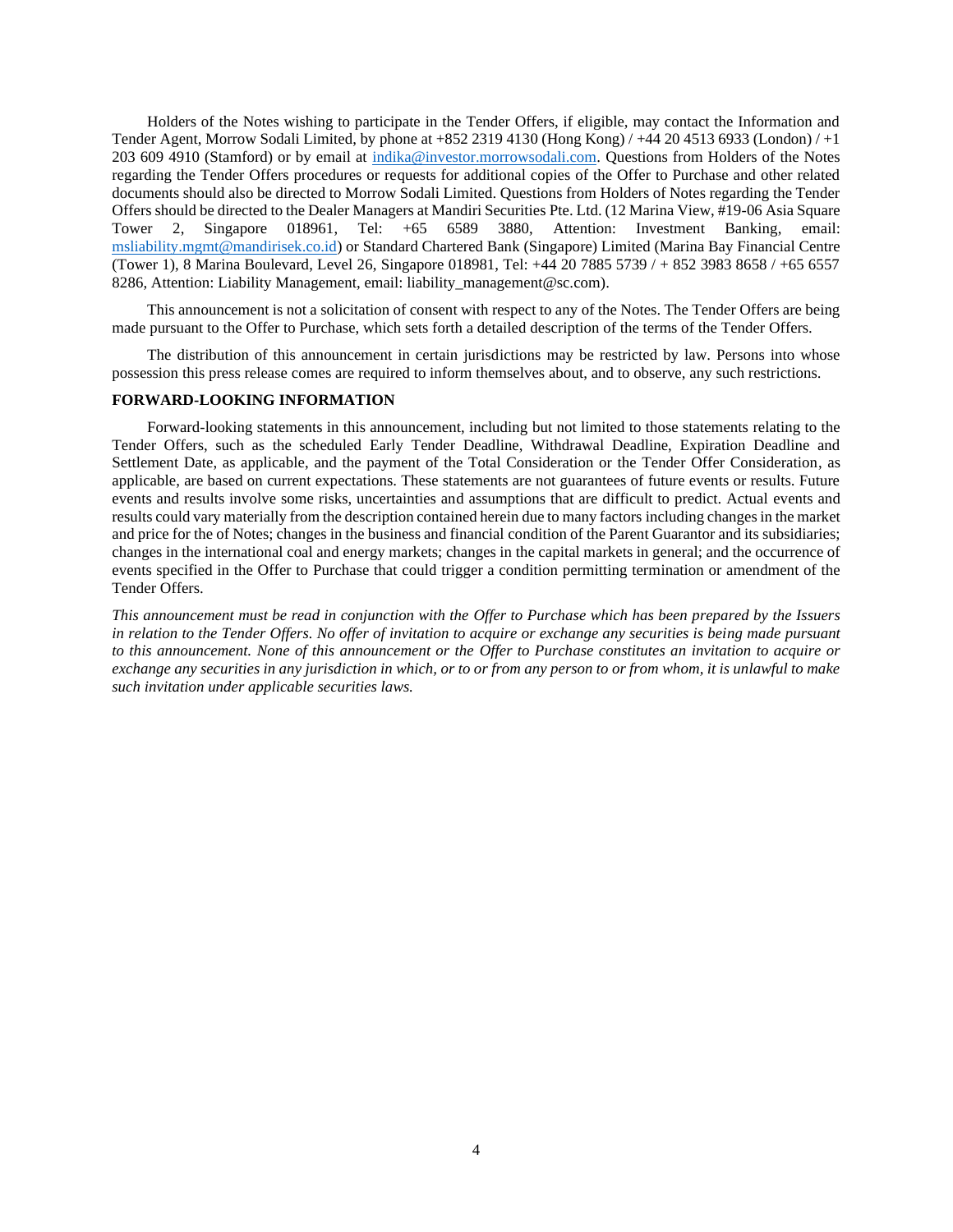Holders of the Notes wishing to participate in the Tender Offers, if eligible, may contact the Information and Tender Agent, Morrow Sodali Limited, by phone at +852 2319 4130 (Hong Kong) / +44 20 4513 6933 (London) / +1 203 609 4910 (Stamford) or by email at [indika@investor.morrowsodali.com.](mailto:indika@investor.morrowsodali.com) Questions from Holders of the Notes regarding the Tender Offers procedures or requests for additional copies of the Offer to Purchase and other related documents should also be directed to Morrow Sodali Limited. Questions from Holders of Notes regarding the Tender Offers should be directed to the Dealer Managers at Mandiri Securities Pte. Ltd. (12 Marina View, #19-06 Asia Square Tower 2, Singapore 018961, Tel: +65 6589 3880, Attention: Investment Banking, email: [msliability.mgmt@mandirisek.co.id\)](mailto:msliability.mgmt@mandirisek.co.id) or Standard Chartered Bank (Singapore) Limited (Marina Bay Financial Centre (Tower 1), 8 Marina Boulevard, Level 26, Singapore 018981, Tel: +44 20 7885 5739 / + 852 3983 8658 / +65 6557 8286, Attention: Liability Management, email: liability\_management@sc.com).

This announcement is not a solicitation of consent with respect to any of the Notes. The Tender Offers are being made pursuant to the Offer to Purchase, which sets forth a detailed description of the terms of the Tender Offers.

The distribution of this announcement in certain jurisdictions may be restricted by law. Persons into whose possession this press release comes are required to inform themselves about, and to observe, any such restrictions.

#### **FORWARD-LOOKING INFORMATION**

Forward-looking statements in this announcement, including but not limited to those statements relating to the Tender Offers, such as the scheduled Early Tender Deadline, Withdrawal Deadline, Expiration Deadline and Settlement Date, as applicable, and the payment of the Total Consideration or the Tender Offer Consideration, as applicable, are based on current expectations. These statements are not guarantees of future events or results. Future events and results involve some risks, uncertainties and assumptions that are difficult to predict. Actual events and results could vary materially from the description contained herein due to many factors including changes in the market and price for the of Notes; changes in the business and financial condition of the Parent Guarantor and its subsidiaries; changes in the international coal and energy markets; changes in the capital markets in general; and the occurrence of events specified in the Offer to Purchase that could trigger a condition permitting termination or amendment of the Tender Offers.

*This announcement must be read in conjunction with the Offer to Purchase which has been prepared by the Issuers in relation to the Tender Offers. No offer of invitation to acquire or exchange any securities is being made pursuant to this announcement. None of this announcement or the Offer to Purchase constitutes an invitation to acquire or exchange any securities in any jurisdiction in which, or to or from any person to or from whom, it is unlawful to make such invitation under applicable securities laws.*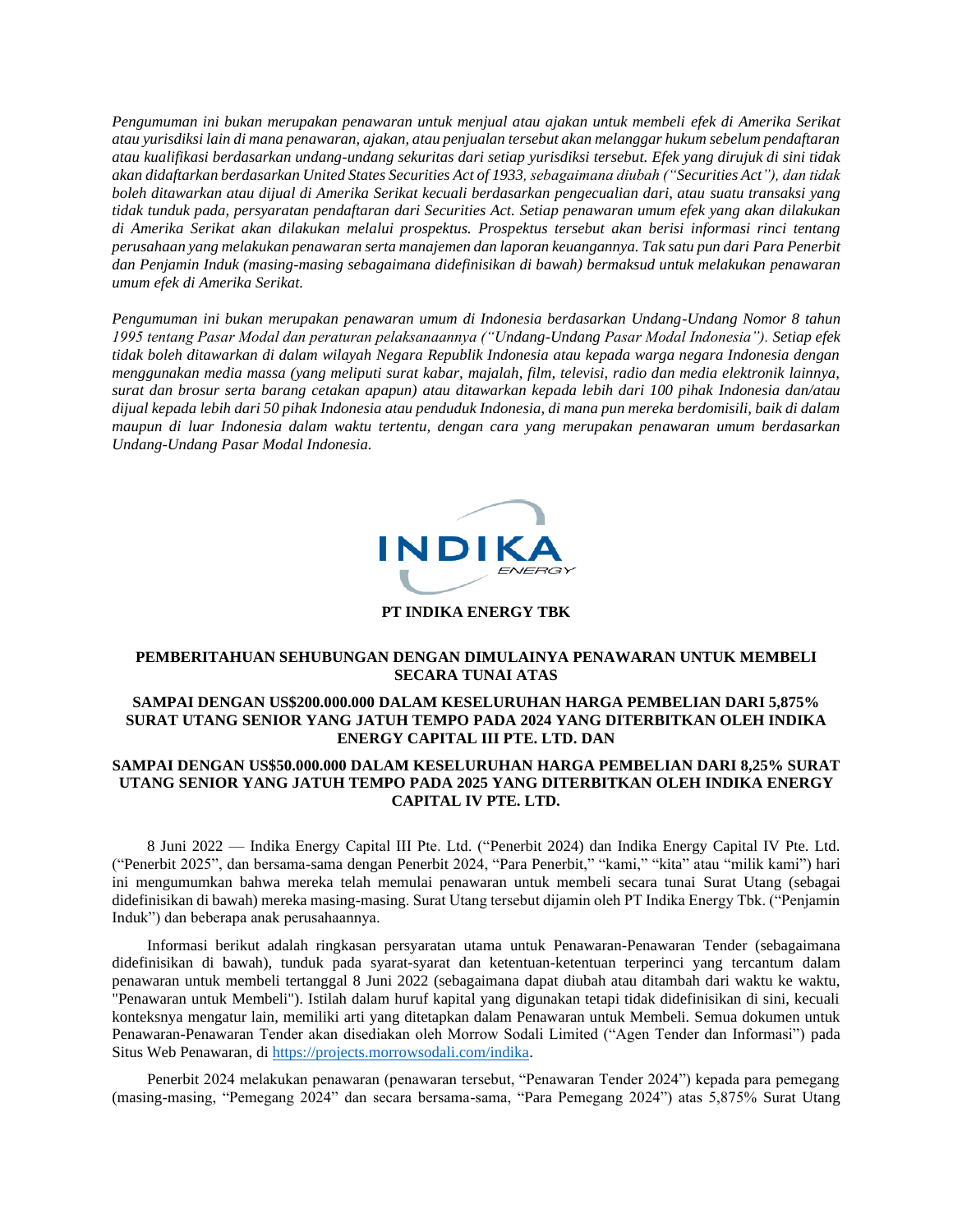*Pengumuman ini bukan merupakan penawaran untuk menjual atau ajakan untuk membeli efek di Amerika Serikat atau yurisdiksi lain di mana penawaran, ajakan, atau penjualan tersebut akan melanggar hukum sebelum pendaftaran atau kualifikasi berdasarkan undang-undang sekuritas dari setiap yurisdiksi tersebut. Efek yang dirujuk di sini tidak akan didaftarkan berdasarkan United States Securities Act of 1933, sebagaimana diubah ("Securities Act"), dan tidak boleh ditawarkan atau dijual di Amerika Serikat kecuali berdasarkan pengecualian dari, atau suatu transaksi yang tidak tunduk pada, persyaratan pendaftaran dari Securities Act. Setiap penawaran umum efek yang akan dilakukan di Amerika Serikat akan dilakukan melalui prospektus. Prospektus tersebut akan berisi informasi rinci tentang perusahaan yang melakukan penawaran serta manajemen dan laporan keuangannya. Tak satu pun dari Para Penerbit dan Penjamin Induk (masing-masing sebagaimana didefinisikan di bawah) bermaksud untuk melakukan penawaran umum efek di Amerika Serikat.*

*Pengumuman ini bukan merupakan penawaran umum di Indonesia berdasarkan Undang-Undang Nomor 8 tahun 1995 tentang Pasar Modal dan peraturan pelaksanaannya ("Undang-Undang Pasar Modal Indonesia"). Setiap efek tidak boleh ditawarkan di dalam wilayah Negara Republik Indonesia atau kepada warga negara Indonesia dengan menggunakan media massa (yang meliputi surat kabar, majalah, film, televisi, radio dan media elektronik lainnya, surat dan brosur serta barang cetakan apapun) atau ditawarkan kepada lebih dari 100 pihak Indonesia dan/atau dijual kepada lebih dari 50 pihak Indonesia atau penduduk Indonesia, di mana pun mereka berdomisili, baik di dalam maupun di luar Indonesia dalam waktu tertentu, dengan cara yang merupakan penawaran umum berdasarkan Undang-Undang Pasar Modal Indonesia.*



#### **PT INDIKA ENERGY TBK**

# **PEMBERITAHUAN SEHUBUNGAN DENGAN DIMULAINYA PENAWARAN UNTUK MEMBELI SECARA TUNAI ATAS**

### **SAMPAI DENGAN US\$200.000.000 DALAM KESELURUHAN HARGA PEMBELIAN DARI 5,875% SURAT UTANG SENIOR YANG JATUH TEMPO PADA 2024 YANG DITERBITKAN OLEH INDIKA ENERGY CAPITAL III PTE. LTD. DAN**

# **SAMPAI DENGAN US\$50.000.000 DALAM KESELURUHAN HARGA PEMBELIAN DARI 8,25% SURAT UTANG SENIOR YANG JATUH TEMPO PADA 2025 YANG DITERBITKAN OLEH INDIKA ENERGY CAPITAL IV PTE. LTD.**

8 Juni 2022 — Indika Energy Capital III Pte. Ltd. ("Penerbit 2024) dan Indika Energy Capital IV Pte. Ltd. ("Penerbit 2025", dan bersama-sama dengan Penerbit 2024, "Para Penerbit," "kami," "kita" atau "milik kami") hari ini mengumumkan bahwa mereka telah memulai penawaran untuk membeli secara tunai Surat Utang (sebagai didefinisikan di bawah) mereka masing-masing. Surat Utang tersebut dijamin oleh PT Indika Energy Tbk. ("Penjamin Induk") dan beberapa anak perusahaannya.

Informasi berikut adalah ringkasan persyaratan utama untuk Penawaran-Penawaran Tender (sebagaimana didefinisikan di bawah), tunduk pada syarat-syarat dan ketentuan-ketentuan terperinci yang tercantum dalam penawaran untuk membeli tertanggal 8 Juni 2022 (sebagaimana dapat diubah atau ditambah dari waktu ke waktu, "Penawaran untuk Membeli"). Istilah dalam huruf kapital yang digunakan tetapi tidak didefinisikan di sini, kecuali konteksnya mengatur lain, memiliki arti yang ditetapkan dalam Penawaran untuk Membeli. Semua dokumen untuk Penawaran-Penawaran Tender akan disediakan oleh Morrow Sodali Limited ("Agen Tender dan Informasi") pada Situs Web Penawaran, di [https://projects.morrowsodali.com/indika.](https://projects.morrowsodali.com/indika)

Penerbit 2024 melakukan penawaran (penawaran tersebut, "Penawaran Tender 2024") kepada para pemegang (masing-masing, "Pemegang 2024" dan secara bersama-sama, "Para Pemegang 2024") atas 5,875% Surat Utang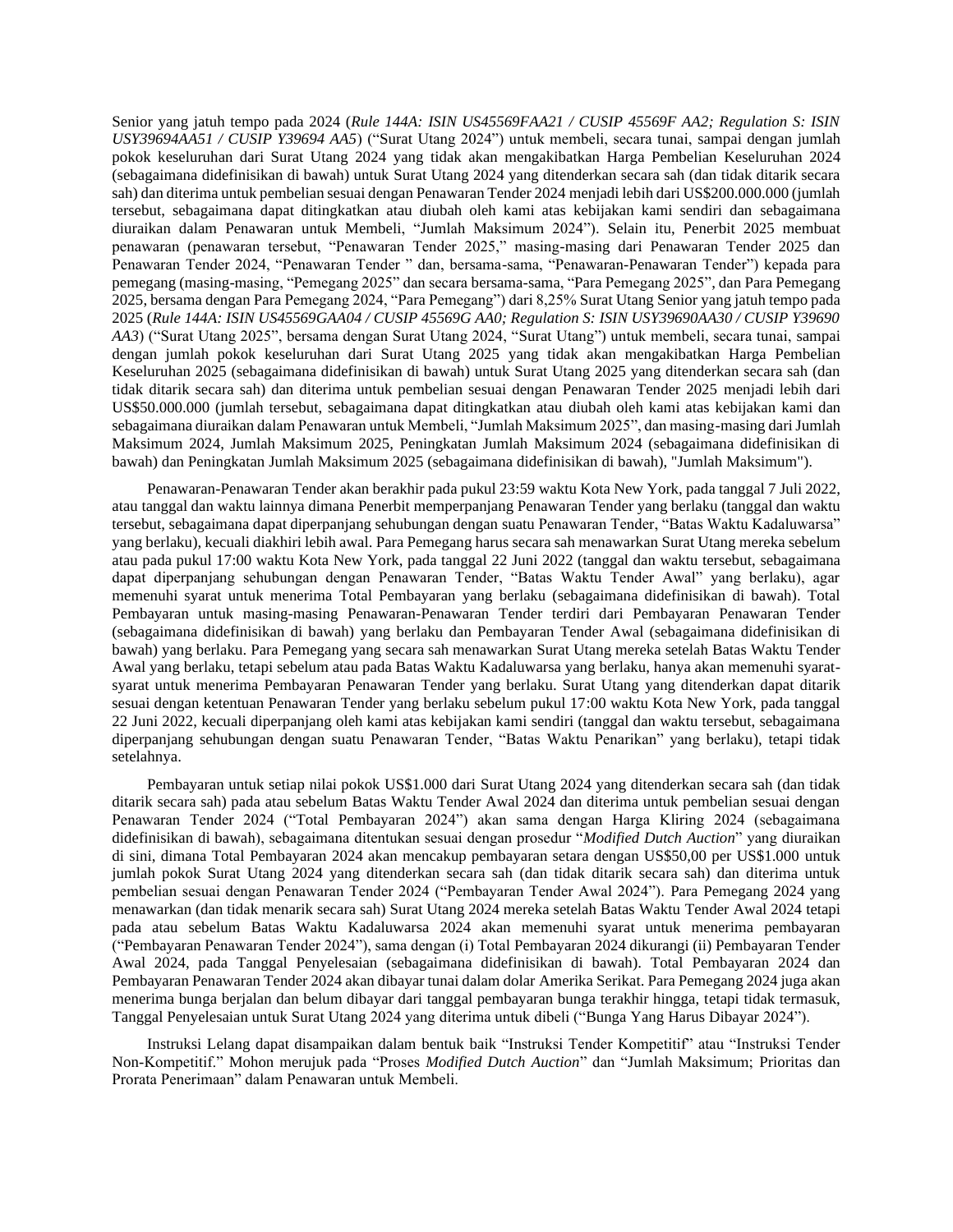Senior yang jatuh tempo pada 2024 (*Rule 144A: ISIN US45569FAA21 / CUSIP 45569F AA2; Regulation S: ISIN USY39694AA51 / CUSIP Y39694 AA5*) ("Surat Utang 2024") untuk membeli, secara tunai, sampai dengan jumlah pokok keseluruhan dari Surat Utang 2024 yang tidak akan mengakibatkan Harga Pembelian Keseluruhan 2024 (sebagaimana didefinisikan di bawah) untuk Surat Utang 2024 yang ditenderkan secara sah (dan tidak ditarik secara sah) dan diterima untuk pembelian sesuai dengan Penawaran Tender 2024 menjadi lebih dari US\$200.000.000 (jumlah tersebut, sebagaimana dapat ditingkatkan atau diubah oleh kami atas kebijakan kami sendiri dan sebagaimana diuraikan dalam Penawaran untuk Membeli, "Jumlah Maksimum 2024"). Selain itu, Penerbit 2025 membuat penawaran (penawaran tersebut, "Penawaran Tender 2025," masing-masing dari Penawaran Tender 2025 dan Penawaran Tender 2024, "Penawaran Tender " dan, bersama-sama, "Penawaran-Penawaran Tender") kepada para pemegang (masing-masing, "Pemegang 2025" dan secara bersama-sama, "Para Pemegang 2025", dan Para Pemegang 2025, bersama dengan Para Pemegang 2024, "Para Pemegang") dari 8,25% Surat Utang Senior yang jatuh tempo pada 2025 (*Rule 144A: ISIN US45569GAA04 / CUSIP 45569G AA0; Regulation S: ISIN USY39690AA30 / CUSIP Y39690 AA3*) ("Surat Utang 2025", bersama dengan Surat Utang 2024, "Surat Utang") untuk membeli, secara tunai, sampai dengan jumlah pokok keseluruhan dari Surat Utang 2025 yang tidak akan mengakibatkan Harga Pembelian Keseluruhan 2025 (sebagaimana didefinisikan di bawah) untuk Surat Utang 2025 yang ditenderkan secara sah (dan tidak ditarik secara sah) dan diterima untuk pembelian sesuai dengan Penawaran Tender 2025 menjadi lebih dari US\$50.000.000 (jumlah tersebut, sebagaimana dapat ditingkatkan atau diubah oleh kami atas kebijakan kami dan sebagaimana diuraikan dalam Penawaran untuk Membeli, "Jumlah Maksimum 2025", dan masing-masing dari Jumlah Maksimum 2024, Jumlah Maksimum 2025, Peningkatan Jumlah Maksimum 2024 (sebagaimana didefinisikan di bawah) dan Peningkatan Jumlah Maksimum 2025 (sebagaimana didefinisikan di bawah), "Jumlah Maksimum").

Penawaran-Penawaran Tender akan berakhir pada pukul 23:59 waktu Kota New York, pada tanggal 7 Juli 2022, atau tanggal dan waktu lainnya dimana Penerbit memperpanjang Penawaran Tender yang berlaku (tanggal dan waktu tersebut, sebagaimana dapat diperpanjang sehubungan dengan suatu Penawaran Tender, "Batas Waktu Kadaluwarsa" yang berlaku), kecuali diakhiri lebih awal. Para Pemegang harus secara sah menawarkan Surat Utang mereka sebelum atau pada pukul 17:00 waktu Kota New York, pada tanggal 22 Juni 2022 (tanggal dan waktu tersebut, sebagaimana dapat diperpanjang sehubungan dengan Penawaran Tender, "Batas Waktu Tender Awal" yang berlaku), agar memenuhi syarat untuk menerima Total Pembayaran yang berlaku (sebagaimana didefinisikan di bawah). Total Pembayaran untuk masing-masing Penawaran-Penawaran Tender terdiri dari Pembayaran Penawaran Tender (sebagaimana didefinisikan di bawah) yang berlaku dan Pembayaran Tender Awal (sebagaimana didefinisikan di bawah) yang berlaku. Para Pemegang yang secara sah menawarkan Surat Utang mereka setelah Batas Waktu Tender Awal yang berlaku, tetapi sebelum atau pada Batas Waktu Kadaluwarsa yang berlaku, hanya akan memenuhi syaratsyarat untuk menerima Pembayaran Penawaran Tender yang berlaku. Surat Utang yang ditenderkan dapat ditarik sesuai dengan ketentuan Penawaran Tender yang berlaku sebelum pukul 17:00 waktu Kota New York, pada tanggal 22 Juni 2022, kecuali diperpanjang oleh kami atas kebijakan kami sendiri (tanggal dan waktu tersebut, sebagaimana diperpanjang sehubungan dengan suatu Penawaran Tender, "Batas Waktu Penarikan" yang berlaku), tetapi tidak setelahnya.

Pembayaran untuk setiap nilai pokok US\$1.000 dari Surat Utang 2024 yang ditenderkan secara sah (dan tidak ditarik secara sah) pada atau sebelum Batas Waktu Tender Awal 2024 dan diterima untuk pembelian sesuai dengan Penawaran Tender 2024 ("Total Pembayaran 2024") akan sama dengan Harga Kliring 2024 (sebagaimana didefinisikan di bawah), sebagaimana ditentukan sesuai dengan prosedur "*Modified Dutch Auction*" yang diuraikan di sini, dimana Total Pembayaran 2024 akan mencakup pembayaran setara dengan US\$50,00 per US\$1.000 untuk jumlah pokok Surat Utang 2024 yang ditenderkan secara sah (dan tidak ditarik secara sah) dan diterima untuk pembelian sesuai dengan Penawaran Tender 2024 ("Pembayaran Tender Awal 2024"). Para Pemegang 2024 yang menawarkan (dan tidak menarik secara sah) Surat Utang 2024 mereka setelah Batas Waktu Tender Awal 2024 tetapi pada atau sebelum Batas Waktu Kadaluwarsa 2024 akan memenuhi syarat untuk menerima pembayaran ("Pembayaran Penawaran Tender 2024"), sama dengan (i) Total Pembayaran 2024 dikurangi (ii) Pembayaran Tender Awal 2024, pada Tanggal Penyelesaian (sebagaimana didefinisikan di bawah). Total Pembayaran 2024 dan Pembayaran Penawaran Tender 2024 akan dibayar tunai dalam dolar Amerika Serikat. Para Pemegang 2024 juga akan menerima bunga berjalan dan belum dibayar dari tanggal pembayaran bunga terakhir hingga, tetapi tidak termasuk, Tanggal Penyelesaian untuk Surat Utang 2024 yang diterima untuk dibeli ("Bunga Yang Harus Dibayar 2024").

Instruksi Lelang dapat disampaikan dalam bentuk baik "Instruksi Tender Kompetitif" atau "Instruksi Tender Non-Kompetitif." Mohon merujuk pada "Proses *Modified Dutch Auction*" dan "Jumlah Maksimum; Prioritas dan Prorata Penerimaan" dalam Penawaran untuk Membeli.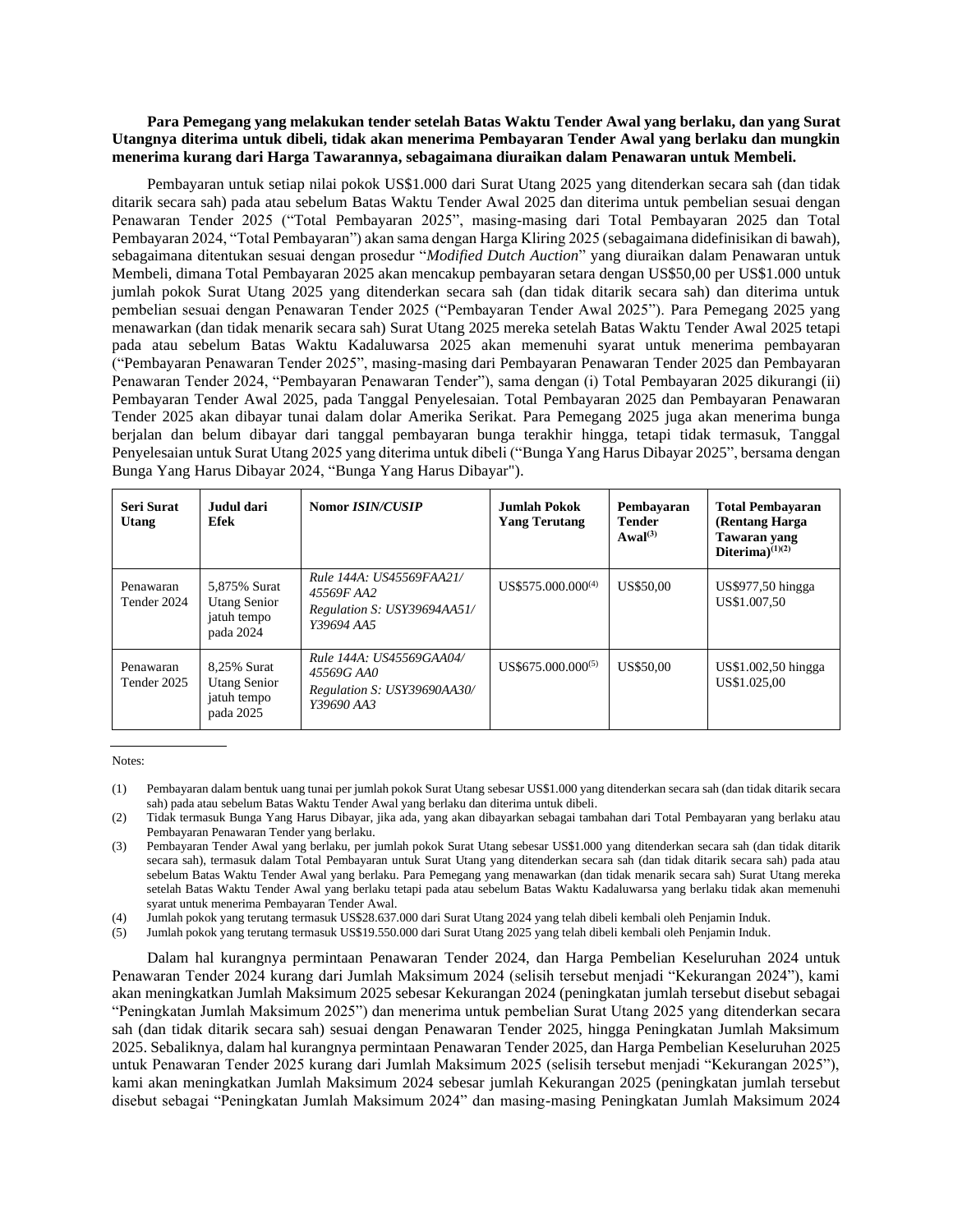### **Para Pemegang yang melakukan tender setelah Batas Waktu Tender Awal yang berlaku, dan yang Surat Utangnya diterima untuk dibeli, tidak akan menerima Pembayaran Tender Awal yang berlaku dan mungkin menerima kurang dari Harga Tawarannya, sebagaimana diuraikan dalam Penawaran untuk Membeli.**

Pembayaran untuk setiap nilai pokok US\$1.000 dari Surat Utang 2025 yang ditenderkan secara sah (dan tidak ditarik secara sah) pada atau sebelum Batas Waktu Tender Awal 2025 dan diterima untuk pembelian sesuai dengan Penawaran Tender 2025 ("Total Pembayaran 2025", masing-masing dari Total Pembayaran 2025 dan Total Pembayaran 2024, "Total Pembayaran") akan sama dengan Harga Kliring 2025 (sebagaimana didefinisikan di bawah), sebagaimana ditentukan sesuai dengan prosedur "*Modified Dutch Auction*" yang diuraikan dalam Penawaran untuk Membeli, dimana Total Pembayaran 2025 akan mencakup pembayaran setara dengan US\$50,00 per US\$1.000 untuk jumlah pokok Surat Utang 2025 yang ditenderkan secara sah (dan tidak ditarik secara sah) dan diterima untuk pembelian sesuai dengan Penawaran Tender 2025 ("Pembayaran Tender Awal 2025"). Para Pemegang 2025 yang menawarkan (dan tidak menarik secara sah) Surat Utang 2025 mereka setelah Batas Waktu Tender Awal 2025 tetapi pada atau sebelum Batas Waktu Kadaluwarsa 2025 akan memenuhi syarat untuk menerima pembayaran ("Pembayaran Penawaran Tender 2025", masing-masing dari Pembayaran Penawaran Tender 2025 dan Pembayaran Penawaran Tender 2024, "Pembayaran Penawaran Tender"), sama dengan (i) Total Pembayaran 2025 dikurangi (ii) Pembayaran Tender Awal 2025, pada Tanggal Penyelesaian. Total Pembayaran 2025 dan Pembayaran Penawaran Tender 2025 akan dibayar tunai dalam dolar Amerika Serikat. Para Pemegang 2025 juga akan menerima bunga berjalan dan belum dibayar dari tanggal pembayaran bunga terakhir hingga, tetapi tidak termasuk, Tanggal Penyelesaian untuk Surat Utang 2025 yang diterima untuk dibeli ("Bunga Yang Harus Dibayar 2025", bersama dengan Bunga Yang Harus Dibayar 2024, "Bunga Yang Harus Dibayar").

| Seri Surat<br>Utang      | Judul dari<br>Efek                                              | Nomor <i>ISIN/CUSIP</i>                                                             | Jumlah Pokok<br><b>Yang Terutang</b> | Pembayaran<br><b>Tender</b><br>$A$ wal $^{(3)}$ | <b>Total Pembayaran</b><br>(Rentang Harga)<br><b>Tawaran</b> yang<br>Diterima) $(1)(2)$ |
|--------------------------|-----------------------------------------------------------------|-------------------------------------------------------------------------------------|--------------------------------------|-------------------------------------------------|-----------------------------------------------------------------------------------------|
| Penawaran<br>Tender 2024 | 5.875% Surat<br><b>Utang Senior</b><br>jatuh tempo<br>pada 2024 | Rule 144A: US45569FAA21/<br>45569F AA2<br>Regulation S: USY39694AA51/<br>Y39694 AA5 | $US$575.000.000^{(4)}$               | US\$50.00                                       | US\$977,50 hingga<br>US\$1,007.50                                                       |
| Penawaran<br>Tender 2025 | 8.25% Surat<br><b>Utang Senior</b><br>jatuh tempo<br>pada 2025  | Rule 144A: US45569GAA04/<br>45569G AA0<br>Regulation S: USY39690AA30/<br>Y39690 AA3 | $US$675.000.000^{(5)}$               | US\$50.00                                       | US\$1.002,50 hingga<br>US\$1,025,00                                                     |

Notes:

(5) Jumlah pokok yang terutang termasuk US\$19.550.000 dari Surat Utang 2025 yang telah dibeli kembali oleh Penjamin Induk.

Dalam hal kurangnya permintaan Penawaran Tender 2024, dan Harga Pembelian Keseluruhan 2024 untuk Penawaran Tender 2024 kurang dari Jumlah Maksimum 2024 (selisih tersebut menjadi "Kekurangan 2024"), kami akan meningkatkan Jumlah Maksimum 2025 sebesar Kekurangan 2024 (peningkatan jumlah tersebut disebut sebagai "Peningkatan Jumlah Maksimum 2025") dan menerima untuk pembelian Surat Utang 2025 yang ditenderkan secara sah (dan tidak ditarik secara sah) sesuai dengan Penawaran Tender 2025, hingga Peningkatan Jumlah Maksimum 2025. Sebaliknya, dalam hal kurangnya permintaan Penawaran Tender 2025, dan Harga Pembelian Keseluruhan 2025 untuk Penawaran Tender 2025 kurang dari Jumlah Maksimum 2025 (selisih tersebut menjadi "Kekurangan 2025"), kami akan meningkatkan Jumlah Maksimum 2024 sebesar jumlah Kekurangan 2025 (peningkatan jumlah tersebut disebut sebagai "Peningkatan Jumlah Maksimum 2024" dan masing-masing Peningkatan Jumlah Maksimum 2024

<sup>(1)</sup> Pembayaran dalam bentuk uang tunai per jumlah pokok Surat Utang sebesar US\$1.000 yang ditenderkan secara sah (dan tidak ditarik secara sah) pada atau sebelum Batas Waktu Tender Awal yang berlaku dan diterima untuk dibeli.

<sup>(2)</sup> Tidak termasuk Bunga Yang Harus Dibayar, jika ada, yang akan dibayarkan sebagai tambahan dari Total Pembayaran yang berlaku atau Pembayaran Penawaran Tender yang berlaku.

<sup>(3)</sup> Pembayaran Tender Awal yang berlaku, per jumlah pokok Surat Utang sebesar US\$1.000 yang ditenderkan secara sah (dan tidak ditarik secara sah), termasuk dalam Total Pembayaran untuk Surat Utang yang ditenderkan secara sah (dan tidak ditarik secara sah) pada atau sebelum Batas Waktu Tender Awal yang berlaku. Para Pemegang yang menawarkan (dan tidak menarik secara sah) Surat Utang mereka setelah Batas Waktu Tender Awal yang berlaku tetapi pada atau sebelum Batas Waktu Kadaluwarsa yang berlaku tidak akan memenuhi syarat untuk menerima Pembayaran Tender Awal.

<sup>(4)</sup> Jumlah pokok yang terutang termasuk US\$28.637.000 dari Surat Utang 2024 yang telah dibeli kembali oleh Penjamin Induk.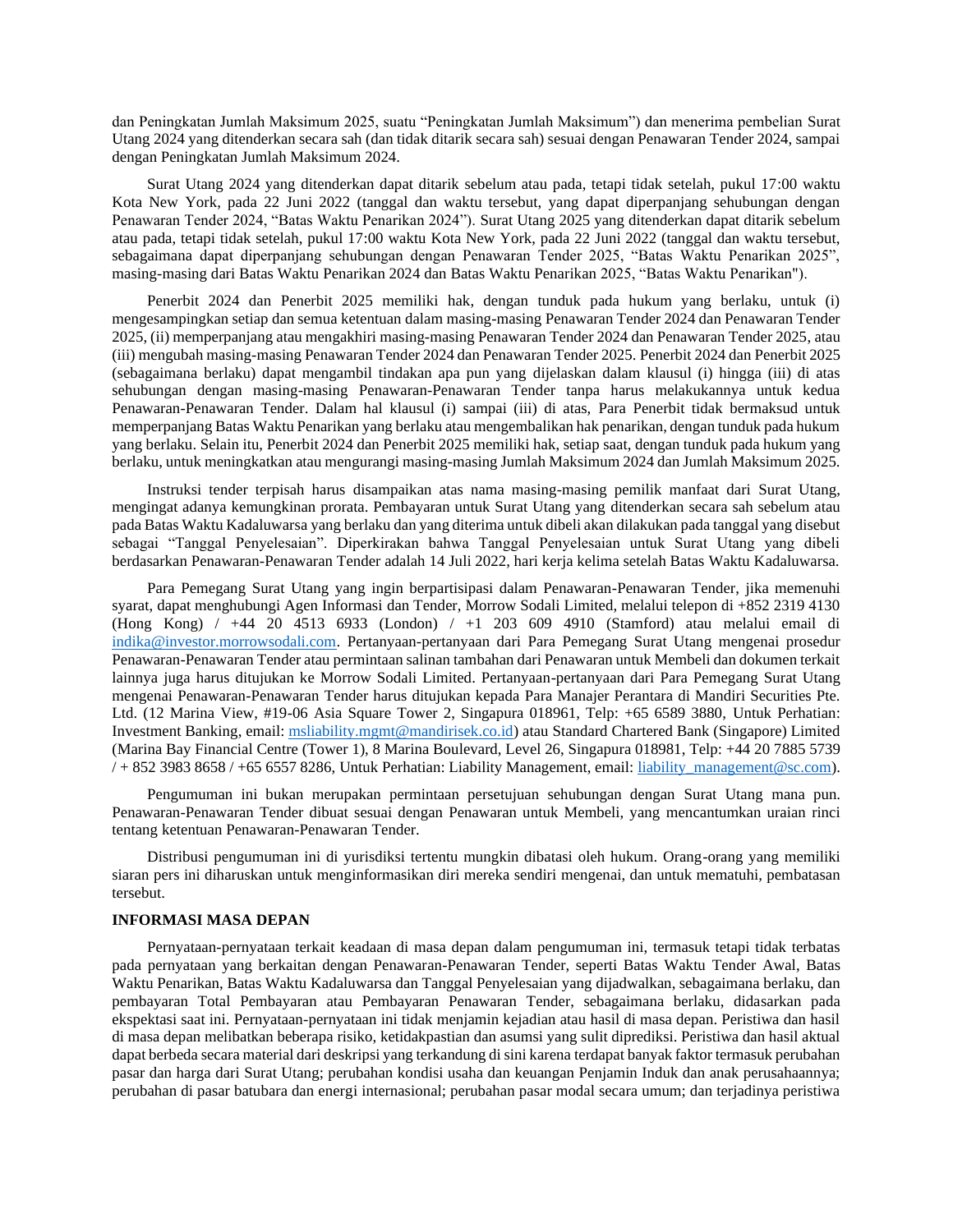dan Peningkatan Jumlah Maksimum 2025, suatu "Peningkatan Jumlah Maksimum") dan menerima pembelian Surat Utang 2024 yang ditenderkan secara sah (dan tidak ditarik secara sah) sesuai dengan Penawaran Tender 2024, sampai dengan Peningkatan Jumlah Maksimum 2024.

Surat Utang 2024 yang ditenderkan dapat ditarik sebelum atau pada, tetapi tidak setelah, pukul 17:00 waktu Kota New York, pada 22 Juni 2022 (tanggal dan waktu tersebut, yang dapat diperpanjang sehubungan dengan Penawaran Tender 2024, "Batas Waktu Penarikan 2024"). Surat Utang 2025 yang ditenderkan dapat ditarik sebelum atau pada, tetapi tidak setelah, pukul 17:00 waktu Kota New York, pada 22 Juni 2022 (tanggal dan waktu tersebut, sebagaimana dapat diperpanjang sehubungan dengan Penawaran Tender 2025, "Batas Waktu Penarikan 2025", masing-masing dari Batas Waktu Penarikan 2024 dan Batas Waktu Penarikan 2025, "Batas Waktu Penarikan").

Penerbit 2024 dan Penerbit 2025 memiliki hak, dengan tunduk pada hukum yang berlaku, untuk (i) mengesampingkan setiap dan semua ketentuan dalam masing-masing Penawaran Tender 2024 dan Penawaran Tender 2025, (ii) memperpanjang atau mengakhiri masing-masing Penawaran Tender 2024 dan Penawaran Tender 2025, atau (iii) mengubah masing-masing Penawaran Tender 2024 dan Penawaran Tender 2025. Penerbit 2024 dan Penerbit 2025 (sebagaimana berlaku) dapat mengambil tindakan apa pun yang dijelaskan dalam klausul (i) hingga (iii) di atas sehubungan dengan masing-masing Penawaran-Penawaran Tender tanpa harus melakukannya untuk kedua Penawaran-Penawaran Tender. Dalam hal klausul (i) sampai (iii) di atas, Para Penerbit tidak bermaksud untuk memperpanjang Batas Waktu Penarikan yang berlaku atau mengembalikan hak penarikan, dengan tunduk pada hukum yang berlaku. Selain itu, Penerbit 2024 dan Penerbit 2025 memiliki hak, setiap saat, dengan tunduk pada hukum yang berlaku, untuk meningkatkan atau mengurangi masing-masing Jumlah Maksimum 2024 dan Jumlah Maksimum 2025.

Instruksi tender terpisah harus disampaikan atas nama masing-masing pemilik manfaat dari Surat Utang, mengingat adanya kemungkinan prorata. Pembayaran untuk Surat Utang yang ditenderkan secara sah sebelum atau pada Batas Waktu Kadaluwarsa yang berlaku dan yang diterima untuk dibeli akan dilakukan pada tanggal yang disebut sebagai "Tanggal Penyelesaian". Diperkirakan bahwa Tanggal Penyelesaian untuk Surat Utang yang dibeli berdasarkan Penawaran-Penawaran Tender adalah 14 Juli 2022, hari kerja kelima setelah Batas Waktu Kadaluwarsa.

Para Pemegang Surat Utang yang ingin berpartisipasi dalam Penawaran-Penawaran Tender, jika memenuhi syarat, dapat menghubungi Agen Informasi dan Tender, Morrow Sodali Limited, melalui telepon di +852 2319 4130 (Hong Kong) / +44 20 4513 6933 (London) / +1 203 609 4910 (Stamford) atau melalui email di [indika@investor.morrowsodali.com.](mailto:indika@investor.morrowsodali.com) Pertanyaan-pertanyaan dari Para Pemegang Surat Utang mengenai prosedur Penawaran-Penawaran Tender atau permintaan salinan tambahan dari Penawaran untuk Membeli dan dokumen terkait lainnya juga harus ditujukan ke Morrow Sodali Limited. Pertanyaan-pertanyaan dari Para Pemegang Surat Utang mengenai Penawaran-Penawaran Tender harus ditujukan kepada Para Manajer Perantara di Mandiri Securities Pte. Ltd. (12 Marina View, #19-06 Asia Square Tower 2, Singapura 018961, Telp: +65 6589 3880, Untuk Perhatian: Investment Banking, email: [msliability.mgmt@mandirisek.co.id\)](mailto:msliability.mgmt@mandirisek.co.id) atau Standard Chartered Bank (Singapore) Limited (Marina Bay Financial Centre (Tower 1), 8 Marina Boulevard, Level 26, Singapura 018981, Telp: +44 20 7885 5739 / + 852 3983 8658 / +65 6557 8286, Untuk Perhatian: Liability Management, email: liability\_management@sc.com).

Pengumuman ini bukan merupakan permintaan persetujuan sehubungan dengan Surat Utang mana pun. Penawaran-Penawaran Tender dibuat sesuai dengan Penawaran untuk Membeli, yang mencantumkan uraian rinci tentang ketentuan Penawaran-Penawaran Tender.

Distribusi pengumuman ini di yurisdiksi tertentu mungkin dibatasi oleh hukum. Orang-orang yang memiliki siaran pers ini diharuskan untuk menginformasikan diri mereka sendiri mengenai, dan untuk mematuhi, pembatasan tersebut.

#### **INFORMASI MASA DEPAN**

Pernyataan-pernyataan terkait keadaan di masa depan dalam pengumuman ini, termasuk tetapi tidak terbatas pada pernyataan yang berkaitan dengan Penawaran-Penawaran Tender, seperti Batas Waktu Tender Awal, Batas Waktu Penarikan, Batas Waktu Kadaluwarsa dan Tanggal Penyelesaian yang dijadwalkan, sebagaimana berlaku, dan pembayaran Total Pembayaran atau Pembayaran Penawaran Tender, sebagaimana berlaku, didasarkan pada ekspektasi saat ini. Pernyataan-pernyataan ini tidak menjamin kejadian atau hasil di masa depan. Peristiwa dan hasil di masa depan melibatkan beberapa risiko, ketidakpastian dan asumsi yang sulit diprediksi. Peristiwa dan hasil aktual dapat berbeda secara material dari deskripsi yang terkandung di sini karena terdapat banyak faktor termasuk perubahan pasar dan harga dari Surat Utang; perubahan kondisi usaha dan keuangan Penjamin Induk dan anak perusahaannya; perubahan di pasar batubara dan energi internasional; perubahan pasar modal secara umum; dan terjadinya peristiwa